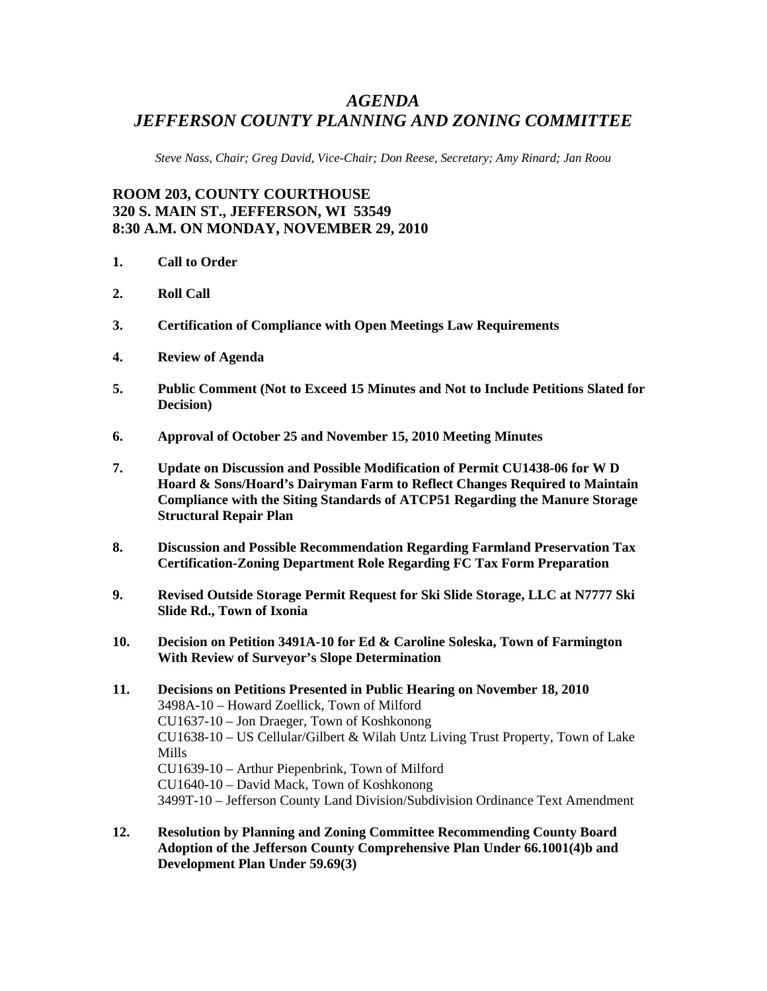# *AGENDA JEFFERSON COUNTY PLANNING AND ZONING COMMITTEE*

*Steve Nass, Chair; Greg David, Vice-Chair; Don Reese, Secretary; Amy Rinard; Jan Roou* 

# **ROOM 203, COUNTY COURTHOUSE 320 S. MAIN ST., JEFFERSON, WI 53549 8:30 A.M. ON MONDAY, NOVEMBER 29, 2010**

- **1. Call to Order**
- **2. Roll Call**
- **3. Certification of Compliance with Open Meetings Law Requirements**
- **4. Review of Agenda**
- **5. Public Comment (Not to Exceed 15 Minutes and Not to Include Petitions Slated for Decision)**
- **6. Approval of October 25 and November 15, 2010 Meeting Minutes**
- **7. Update on Discussion and Possible Modification of Permit CU1438-06 for W D Hoard & Sons/Hoard's Dairyman Farm to Reflect Changes Required to Maintain Compliance with the Siting Standards of ATCP51 Regarding the Manure Storage Structural Repair Plan**
- **8. Discussion and Possible Recommendation Regarding Farmland Preservation Tax Certification-Zoning Department Role Regarding FC Tax Form Preparation**
- **9. Revised Outside Storage Permit Request for Ski Slide Storage, LLC at N7777 Ski Slide Rd., Town of Ixonia**
- **10. Decision on Petition 3491A-10 for Ed & Caroline Soleska, Town of Farmington With Review of Surveyor's Slope Determination**
- **11. Decisions on Petitions Presented in Public Hearing on November 18, 2010**  3498A-10 – Howard Zoellick, Town of Milford CU1637-10 – Jon Draeger, Town of Koshkonong CU1638-10 – US Cellular/Gilbert & Wilah Untz Living Trust Property, Town of Lake Mills CU1639-10 – Arthur Piepenbrink, Town of Milford CU1640-10 – David Mack, Town of Koshkonong 3499T-10 – Jefferson County Land Division/Subdivision Ordinance Text Amendment
- **12. Resolution by Planning and Zoning Committee Recommending County Board Adoption of the Jefferson County Comprehensive Plan Under 66.1001(4)b and Development Plan Under 59.69(3)**